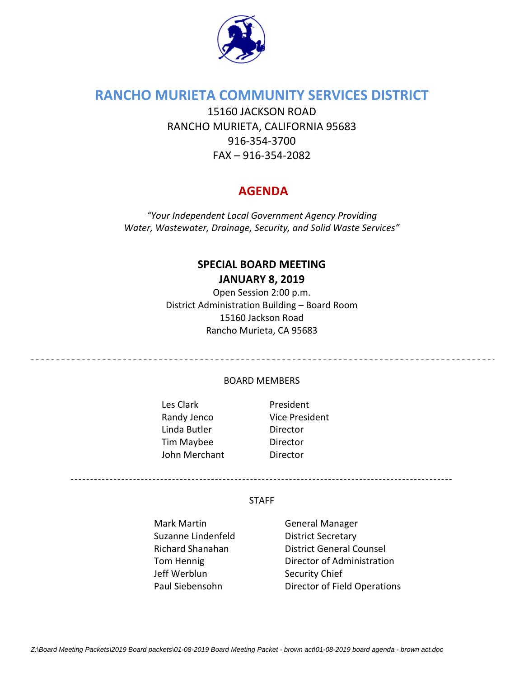

## **RANCHO MURIETA COMMUNITY SERVICES DISTRICT**

15160 JACKSON ROAD RANCHO MURIETA, CALIFORNIA 95683 916‐354‐3700 FAX – 916‐354‐2082

## **AGENDA**

*"Your Independent Local Government Agency Providing Water, Wastewater, Drainage, Security, and Solid Waste Services"*

# **SPECIAL BOARD MEETING**

**JANUARY 8, 2019**

Open Session 2:00 p.m. District Administration Building – Board Room 15160 Jackson Road Rancho Murieta, CA 95683

#### BOARD MEMBERS

Les Clark President Linda Butler Director Tim Maybee Director John Merchant **Director** 

Randy Jenco Vice President

--------------------------------------------------------------------------------------------------

#### **STAFF**

- Mark Martin **Communist Contrary General Manager** Suzanne Lindenfeld **District Secretary** Jeff Werblun Security Chief
- Richard Shanahan **District General Counsel** Tom Hennig **Director of Administration** Paul Siebensohn Director of Field Operations